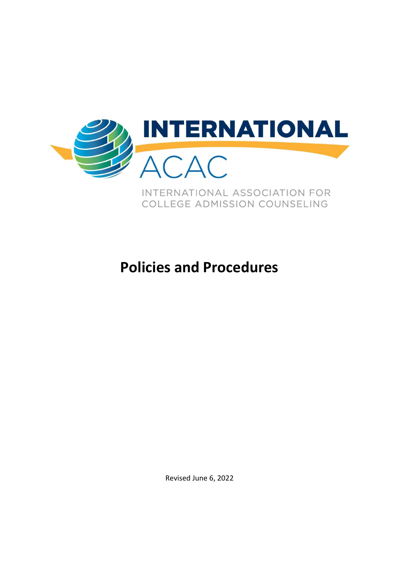

# **Policies and Procedures**

Revised June 6, 2022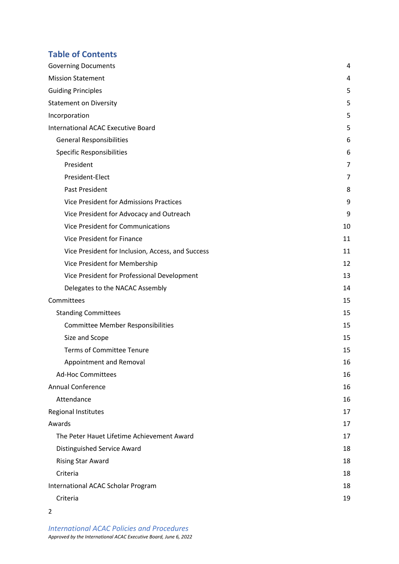## **Table of Contents**

| <b>Governing Documents</b>                        | 4              |
|---------------------------------------------------|----------------|
| <b>Mission Statement</b>                          | 4              |
| <b>Guiding Principles</b>                         | 5              |
| <b>Statement on Diversity</b>                     | 5              |
| Incorporation                                     | 5              |
| <b>International ACAC Executive Board</b>         | 5              |
| <b>General Responsibilities</b>                   | 6              |
| <b>Specific Responsibilities</b>                  | 6              |
| President                                         | $\overline{7}$ |
| President-Elect                                   | 7              |
| <b>Past President</b>                             | 8              |
| Vice President for Admissions Practices           | 9              |
| Vice President for Advocacy and Outreach          | 9              |
| Vice President for Communications                 | 10             |
| Vice President for Finance                        | 11             |
| Vice President for Inclusion, Access, and Success | 11             |
| Vice President for Membership                     | 12             |
| Vice President for Professional Development       | 13             |
| Delegates to the NACAC Assembly                   | 14             |
| Committees                                        | 15             |
| <b>Standing Committees</b>                        | 15             |
| <b>Committee Member Responsibilities</b>          | 15             |
| Size and Scope                                    | 15             |
| <b>Terms of Committee Tenure</b>                  | 15             |
| Appointment and Removal                           | 16             |
| <b>Ad-Hoc Committees</b>                          | 16             |
| <b>Annual Conference</b>                          | 16             |
| Attendance                                        | 16             |
| <b>Regional Institutes</b>                        | 17             |
| Awards                                            | 17             |
| The Peter Hauet Lifetime Achievement Award        | 17             |
| Distinguished Service Award                       | 18             |
| <b>Rising Star Award</b>                          | 18             |
| Criteria                                          | 18             |
| International ACAC Scholar Program                | 18             |
| Criteria                                          | 19             |

2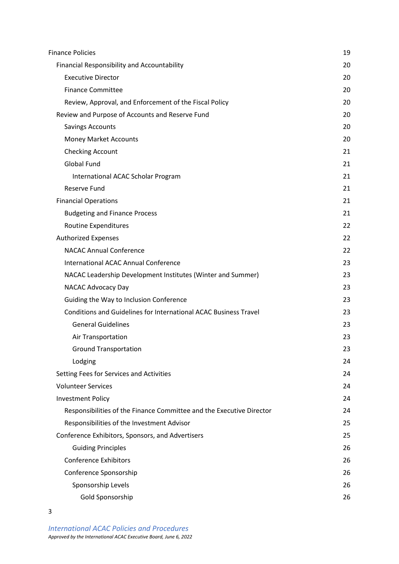| <b>Finance Policies</b>                                              | 19 |
|----------------------------------------------------------------------|----|
| <b>Financial Responsibility and Accountability</b>                   | 20 |
| <b>Executive Director</b>                                            | 20 |
| <b>Finance Committee</b>                                             | 20 |
| Review, Approval, and Enforcement of the Fiscal Policy               | 20 |
| Review and Purpose of Accounts and Reserve Fund                      | 20 |
| <b>Savings Accounts</b>                                              | 20 |
| <b>Money Market Accounts</b>                                         | 20 |
| <b>Checking Account</b>                                              | 21 |
| <b>Global Fund</b>                                                   | 21 |
| International ACAC Scholar Program                                   | 21 |
| <b>Reserve Fund</b>                                                  | 21 |
| <b>Financial Operations</b>                                          | 21 |
| <b>Budgeting and Finance Process</b>                                 | 21 |
| Routine Expenditures                                                 | 22 |
| <b>Authorized Expenses</b>                                           | 22 |
| <b>NACAC Annual Conference</b>                                       | 22 |
| <b>International ACAC Annual Conference</b>                          | 23 |
| NACAC Leadership Development Institutes (Winter and Summer)          | 23 |
| NACAC Advocacy Day                                                   | 23 |
| Guiding the Way to Inclusion Conference                              | 23 |
| Conditions and Guidelines for International ACAC Business Travel     | 23 |
| <b>General Guidelines</b>                                            | 23 |
| Air Transportation                                                   | 23 |
| <b>Ground Transportation</b>                                         | 23 |
| Lodging                                                              | 24 |
| Setting Fees for Services and Activities                             | 24 |
| <b>Volunteer Services</b>                                            | 24 |
| <b>Investment Policy</b>                                             | 24 |
| Responsibilities of the Finance Committee and the Executive Director | 24 |
| Responsibilities of the Investment Advisor                           | 25 |
| Conference Exhibitors, Sponsors, and Advertisers                     | 25 |
| <b>Guiding Principles</b>                                            | 26 |
| <b>Conference Exhibitors</b>                                         | 26 |
| Conference Sponsorship                                               | 26 |
| Sponsorship Levels                                                   | 26 |
| Gold Sponsorship                                                     | 26 |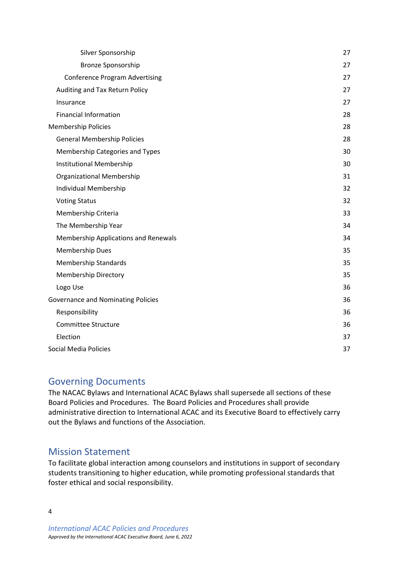| Silver Sponsorship                        | 27 |
|-------------------------------------------|----|
| <b>Bronze Sponsorship</b>                 | 27 |
| <b>Conference Program Advertising</b>     | 27 |
| Auditing and Tax Return Policy            | 27 |
| Insurance                                 | 27 |
| <b>Financial Information</b>              | 28 |
| <b>Membership Policies</b>                | 28 |
| <b>General Membership Policies</b>        | 28 |
| Membership Categories and Types           | 30 |
| Institutional Membership                  | 30 |
| Organizational Membership                 | 31 |
| Individual Membership                     | 32 |
| <b>Voting Status</b>                      | 32 |
| Membership Criteria                       | 33 |
| The Membership Year                       | 34 |
| Membership Applications and Renewals      | 34 |
| <b>Membership Dues</b>                    | 35 |
| <b>Membership Standards</b>               | 35 |
| <b>Membership Directory</b>               | 35 |
| Logo Use                                  | 36 |
| <b>Governance and Nominating Policies</b> | 36 |
| Responsibility                            | 36 |
| <b>Committee Structure</b>                | 36 |
| Election                                  | 37 |
| <b>Social Media Policies</b>              | 37 |

# <span id="page-3-0"></span>Governing Documents

The NACAC Bylaws and International ACAC Bylaws shall supersede all sections of these Board Policies and Procedures. The Board Policies and Procedures shall provide administrative direction to International ACAC and its Executive Board to effectively carry out the Bylaws and functions of the Association.

# <span id="page-3-1"></span>Mission Statement

To facilitate global interaction among counselors and institutions in support of secondary students transitioning to higher education, while promoting professional standards that foster ethical and social responsibility.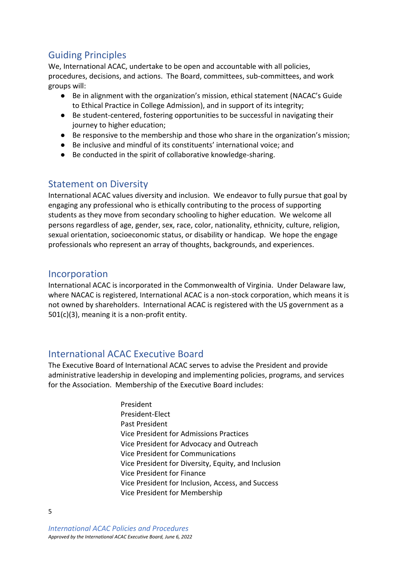# <span id="page-4-0"></span>Guiding Principles

We, International ACAC, undertake to be open and accountable with all policies, procedures, decisions, and actions. The Board, committees, sub-committees, and work groups will:

- Be in alignment with the organization's mission, ethical statement (NACAC's Guide to Ethical Practice in College Admission), and in support of its integrity;
- Be student-centered, fostering opportunities to be successful in navigating their journey to higher education;
- Be responsive to the membership and those who share in the organization's mission;
- Be inclusive and mindful of its constituents' international voice; and
- Be conducted in the spirit of collaborative knowledge-sharing.

# <span id="page-4-1"></span>Statement on Diversity

International ACAC values diversity and inclusion. We endeavor to fully pursue that goal by engaging any professional who is ethically contributing to the process of supporting students as they move from secondary schooling to higher education. We welcome all persons regardless of age, gender, sex, race, color, nationality, ethnicity, culture, religion, sexual orientation, socioeconomic status, or disability or handicap. We hope the engage professionals who represent an array of thoughts, backgrounds, and experiences.

### <span id="page-4-2"></span>Incorporation

International ACAC is incorporated in the Commonwealth of Virginia. Under Delaware law, where NACAC is registered, International ACAC is a non-stock corporation, which means it is not owned by shareholders. International ACAC is registered with the US government as a 501(c)(3), meaning it is a non-profit entity.

# <span id="page-4-3"></span>International ACAC Executive Board

The Executive Board of International ACAC serves to advise the President and provide administrative leadership in developing and implementing policies, programs, and services for the Association. Membership of the Executive Board includes:

> President President-Elect Past President Vice President for Admissions Practices Vice President for Advocacy and Outreach Vice President for Communications Vice President for Diversity, Equity, and Inclusion Vice President for Finance Vice President for Inclusion, Access, and Success Vice President for Membership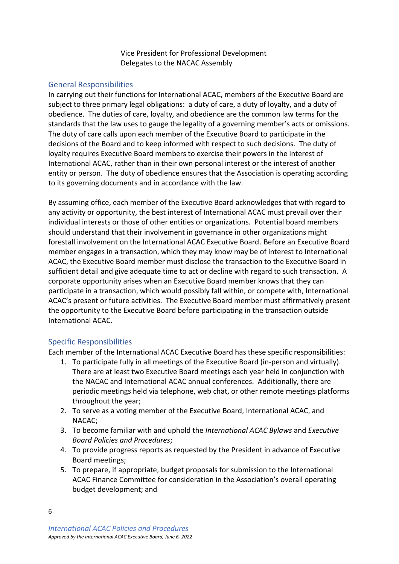Vice President for Professional Development Delegates to the NACAC Assembly

#### <span id="page-5-0"></span>General Responsibilities

In carrying out their functions for International ACAC, members of the Executive Board are subject to three primary legal obligations: a duty of care, a duty of loyalty, and a duty of obedience. The duties of care, loyalty, and obedience are the common law terms for the standards that the law uses to gauge the legality of a governing member's acts or omissions. The duty of care calls upon each member of the Executive Board to participate in the decisions of the Board and to keep informed with respect to such decisions. The duty of loyalty requires Executive Board members to exercise their powers in the interest of International ACAC, rather than in their own personal interest or the interest of another entity or person. The duty of obedience ensures that the Association is operating according to its governing documents and in accordance with the law.

By assuming office, each member of the Executive Board acknowledges that with regard to any activity or opportunity, the best interest of International ACAC must prevail over their individual interests or those of other entities or organizations. Potential board members should understand that their involvement in governance in other organizations might forestall involvement on the International ACAC Executive Board. Before an Executive Board member engages in a transaction, which they may know may be of interest to International ACAC, the Executive Board member must disclose the transaction to the Executive Board in sufficient detail and give adequate time to act or decline with regard to such transaction. A corporate opportunity arises when an Executive Board member knows that they can participate in a transaction, which would possibly fall within, or compete with, International ACAC's present or future activities. The Executive Board member must affirmatively present the opportunity to the Executive Board before participating in the transaction outside International ACAC.

### <span id="page-5-1"></span>Specific Responsibilities

Each member of the International ACAC Executive Board has these specific responsibilities:

- 1. To participate fully in all meetings of the Executive Board (in-person and virtually). There are at least two Executive Board meetings each year held in conjunction with the NACAC and International ACAC annual conferences. Additionally, there are periodic meetings held via telephone, web chat, or other remote meetings platforms throughout the year;
- 2. To serve as a voting member of the Executive Board, International ACAC, and NACAC;
- 3. To become familiar with and uphold the *International ACAC Bylaws* and *Executive Board Policies and Procedures*;
- 4. To provide progress reports as requested by the President in advance of Executive Board meetings;
- 5. To prepare, if appropriate, budget proposals for submission to the International ACAC Finance Committee for consideration in the Association's overall operating budget development; and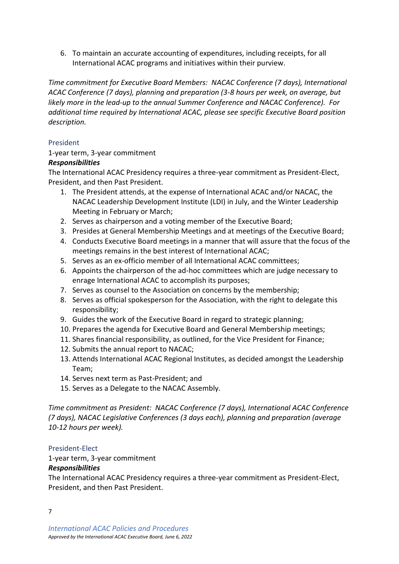6. To maintain an accurate accounting of expenditures, including receipts, for all International ACAC programs and initiatives within their purview.

*Time commitment for Executive Board Members: NACAC Conference (7 days), International ACAC Conference (7 days), planning and preparation (3-8 hours per week, on average, but likely more in the lead-up to the annual Summer Conference and NACAC Conference). For additional time required by International ACAC, please see specific Executive Board position description.*

### <span id="page-6-0"></span>President

### 1-year term, 3-year commitment

### *Responsibilities*

The International ACAC Presidency requires a three-year commitment as President-Elect, President, and then Past President.

- 1. The President attends, at the expense of International ACAC and/or NACAC, the NACAC Leadership Development Institute (LDI) in July, and the Winter Leadership Meeting in February or March;
- 2. Serves as chairperson and a voting member of the Executive Board;
- 3. Presides at General Membership Meetings and at meetings of the Executive Board;
- 4. Conducts Executive Board meetings in a manner that will assure that the focus of the meetings remains in the best interest of International ACAC;
- 5. Serves as an ex-officio member of all International ACAC committees;
- 6. Appoints the chairperson of the ad-hoc committees which are judge necessary to enrage International ACAC to accomplish its purposes;
- 7. Serves as counsel to the Association on concerns by the membership;
- 8. Serves as official spokesperson for the Association, with the right to delegate this responsibility;
- 9. Guides the work of the Executive Board in regard to strategic planning;
- 10. Prepares the agenda for Executive Board and General Membership meetings;
- 11. Shares financial responsibility, as outlined, for the Vice President for Finance;
- 12. Submits the annual report to NACAC;
- 13. Attends International ACAC Regional Institutes, as decided amongst the Leadership Team;
- 14. Serves next term as Past-President; and
- 15. Serves as a Delegate to the NACAC Assembly.

*Time commitment as President: NACAC Conference (7 days), International ACAC Conference (7 days), NACAC Legislative Conferences (3 days each), planning and preparation (average 10-12 hours per week).*

### <span id="page-6-1"></span>President-Elect

### 1-year term, 3-year commitment

### *Responsibilities*

7

The International ACAC Presidency requires a three-year commitment as President-Elect, President, and then Past President.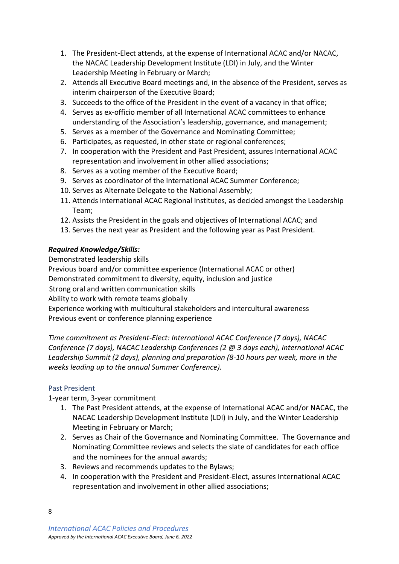- 1. The President-Elect attends, at the expense of International ACAC and/or NACAC, the NACAC Leadership Development Institute (LDI) in July, and the Winter Leadership Meeting in February or March;
- 2. Attends all Executive Board meetings and, in the absence of the President, serves as interim chairperson of the Executive Board;
- 3. Succeeds to the office of the President in the event of a vacancy in that office;
- 4. Serves as ex-officio member of all International ACAC committees to enhance understanding of the Association's leadership, governance, and management;
- 5. Serves as a member of the Governance and Nominating Committee;
- 6. Participates, as requested, in other state or regional conferences;
- 7. In cooperation with the President and Past President, assures International ACAC representation and involvement in other allied associations;
- 8. Serves as a voting member of the Executive Board;
- 9. Serves as coordinator of the International ACAC Summer Conference;
- 10. Serves as Alternate Delegate to the National Assembly;
- 11. Attends International ACAC Regional Institutes, as decided amongst the Leadership Team;
- 12. Assists the President in the goals and objectives of International ACAC; and
- 13. Serves the next year as President and the following year as Past President.

### *Required Knowledge/Skills:*

Demonstrated leadership skills

Previous board and/or committee experience (International ACAC or other)

Demonstrated commitment to diversity, equity, inclusion and justice

Strong oral and written communication skills

Ability to work with remote teams globally

Experience working with multicultural stakeholders and intercultural awareness Previous event or conference planning experience

*Time commitment as President-Elect: International ACAC Conference (7 days), NACAC Conference (7 days), NACAC Leadership Conferences (2 @ 3 days each), International ACAC Leadership Summit (2 days), planning and preparation (8-10 hours per week, more in the weeks leading up to the annual Summer Conference).*

### <span id="page-7-0"></span>Past President

1-year term, 3-year commitment

- 1. The Past President attends, at the expense of International ACAC and/or NACAC, the NACAC Leadership Development Institute (LDI) in July, and the Winter Leadership Meeting in February or March;
- 2. Serves as Chair of the Governance and Nominating Committee. The Governance and Nominating Committee reviews and selects the slate of candidates for each office and the nominees for the annual awards;
- 3. Reviews and recommends updates to the Bylaws;
- 4. In cooperation with the President and President-Elect, assures International ACAC representation and involvement in other allied associations;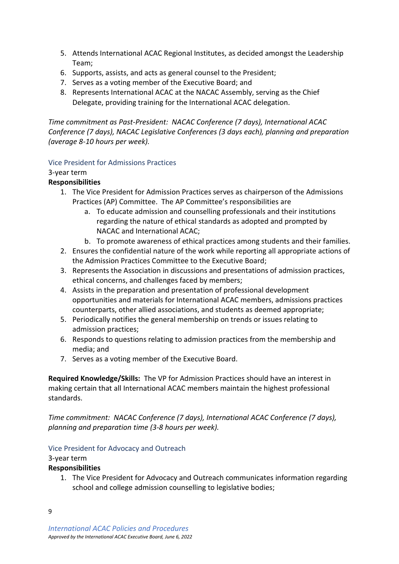- 5. Attends International ACAC Regional Institutes, as decided amongst the Leadership Team;
- 6. Supports, assists, and acts as general counsel to the President;
- 7. Serves as a voting member of the Executive Board; and
- 8. Represents International ACAC at the NACAC Assembly, serving as the Chief Delegate, providing training for the International ACAC delegation.

*Time commitment as Past-President: NACAC Conference (7 days), International ACAC Conference (7 days), NACAC Legislative Conferences (3 days each), planning and preparation (average 8-10 hours per week).*

### <span id="page-8-0"></span>Vice President for Admissions Practices

### 3-year term

### **Responsibilities**

- 1. The Vice President for Admission Practices serves as chairperson of the Admissions Practices (AP) Committee. The AP Committee's responsibilities are
	- a. To educate admission and counselling professionals and their institutions regarding the nature of ethical standards as adopted and prompted by NACAC and International ACAC;
	- b. To promote awareness of ethical practices among students and their families.
- 2. Ensures the confidential nature of the work while reporting all appropriate actions of the Admission Practices Committee to the Executive Board;
- 3. Represents the Association in discussions and presentations of admission practices, ethical concerns, and challenges faced by members;
- 4. Assists in the preparation and presentation of professional development opportunities and materials for International ACAC members, admissions practices counterparts, other allied associations, and students as deemed appropriate;
- 5. Periodically notifies the general membership on trends or issues relating to admission practices;
- 6. Responds to questions relating to admission practices from the membership and media; and
- 7. Serves as a voting member of the Executive Board.

**Required Knowledge/Skills:** The VP for Admission Practices should have an interest in making certain that all International ACAC members maintain the highest professional standards.

*Time commitment: NACAC Conference (7 days), International ACAC Conference (7 days), planning and preparation time (3-8 hours per week).*

### <span id="page-8-1"></span>Vice President for Advocacy and Outreach

### 3-year term

### **Responsibilities**

1. The Vice President for Advocacy and Outreach communicates information regarding school and college admission counselling to legislative bodies;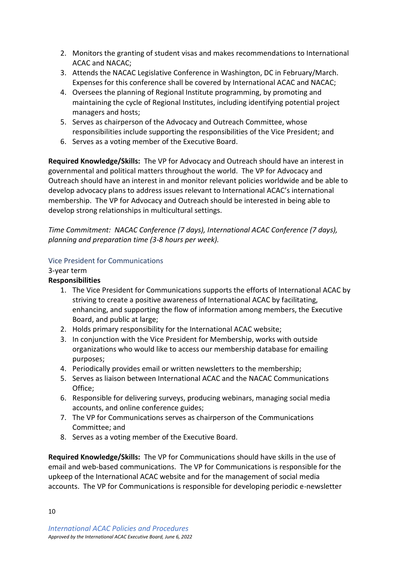- 2. Monitors the granting of student visas and makes recommendations to International ACAC and NACAC;
- 3. Attends the NACAC Legislative Conference in Washington, DC in February/March. Expenses for this conference shall be covered by International ACAC and NACAC;
- 4. Oversees the planning of Regional Institute programming, by promoting and maintaining the cycle of Regional Institutes, including identifying potential project managers and hosts;
- 5. Serves as chairperson of the Advocacy and Outreach Committee, whose responsibilities include supporting the responsibilities of the Vice President; and
- 6. Serves as a voting member of the Executive Board.

**Required Knowledge/Skills:** The VP for Advocacy and Outreach should have an interest in governmental and political matters throughout the world. The VP for Advocacy and Outreach should have an interest in and monitor relevant policies worldwide and be able to develop advocacy plans to address issues relevant to International ACAC's international membership. The VP for Advocacy and Outreach should be interested in being able to develop strong relationships in multicultural settings.

*Time Commitment: NACAC Conference (7 days), International ACAC Conference (7 days), planning and preparation time (3-8 hours per week).*

### <span id="page-9-0"></span>Vice President for Communications

### 3-year term

### **Responsibilities**

- 1. The Vice President for Communications supports the efforts of International ACAC by striving to create a positive awareness of International ACAC by facilitating, enhancing, and supporting the flow of information among members, the Executive Board, and public at large;
- 2. Holds primary responsibility for the International ACAC website;
- 3. In conjunction with the Vice President for Membership, works with outside organizations who would like to access our membership database for emailing purposes;
- 4. Periodically provides email or written newsletters to the membership;
- 5. Serves as liaison between International ACAC and the NACAC Communications Office;
- 6. Responsible for delivering surveys, producing webinars, managing social media accounts, and online conference guides;
- 7. The VP for Communications serves as chairperson of the Communications Committee; and
- 8. Serves as a voting member of the Executive Board.

**Required Knowledge/Skills:** The VP for Communications should have skills in the use of email and web-based communications. The VP for Communications is responsible for the upkeep of the International ACAC website and for the management of social media accounts. The VP for Communications is responsible for developing periodic e-newsletter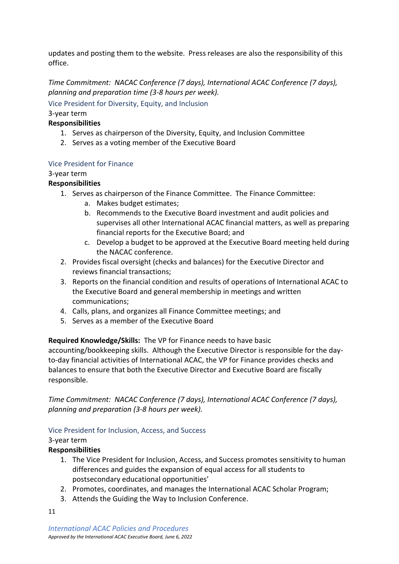updates and posting them to the website. Press releases are also the responsibility of this office.

*Time Commitment: NACAC Conference (7 days), International ACAC Conference (7 days), planning and preparation time (3-8 hours per week).*

<span id="page-10-0"></span>Vice President for Diversity, Equity, and Inclusion

### 3-year term

### **Responsibilities**

- 1. Serves as chairperson of the Diversity, Equity, and Inclusion Committee
- 2. Serves as a voting member of the Executive Board

### Vice President for Finance

### 3-year term

### **Responsibilities**

- 1. Serves as chairperson of the Finance Committee. The Finance Committee:
	- a. Makes budget estimates;
	- b. Recommends to the Executive Board investment and audit policies and supervises all other International ACAC financial matters, as well as preparing financial reports for the Executive Board; and
	- c. Develop a budget to be approved at the Executive Board meeting held during the NACAC conference.
- 2. Provides fiscal oversight (checks and balances) for the Executive Director and reviews financial transactions;
- 3. Reports on the financial condition and results of operations of International ACAC to the Executive Board and general membership in meetings and written communications;
- 4. Calls, plans, and organizes all Finance Committee meetings; and
- 5. Serves as a member of the Executive Board

**Required Knowledge/Skills:** The VP for Finance needs to have basic

accounting/bookkeeping skills. Although the Executive Director is responsible for the dayto-day financial activities of International ACAC, the VP for Finance provides checks and balances to ensure that both the Executive Director and Executive Board are fiscally responsible.

*Time Commitment: NACAC Conference (7 days), International ACAC Conference (7 days), planning and preparation (3-8 hours per week).*

### <span id="page-10-1"></span>Vice President for Inclusion, Access, and Success

### 3-year term

### **Responsibilities**

- 1. The Vice President for Inclusion, Access, and Success promotes sensitivity to human differences and guides the expansion of equal access for all students to postsecondary educational opportunities'
- 2. Promotes, coordinates, and manages the International ACAC Scholar Program;
- 3. Attends the Guiding the Way to Inclusion Conference.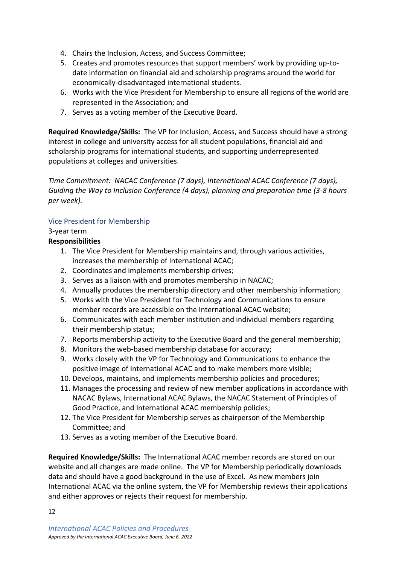- 4. Chairs the Inclusion, Access, and Success Committee;
- 5. Creates and promotes resources that support members' work by providing up-todate information on financial aid and scholarship programs around the world for economically-disadvantaged international students.
- 6. Works with the Vice President for Membership to ensure all regions of the world are represented in the Association; and
- 7. Serves as a voting member of the Executive Board.

**Required Knowledge/Skills:** The VP for Inclusion, Access, and Success should have a strong interest in college and university access for all student populations, financial aid and scholarship programs for international students, and supporting underrepresented populations at colleges and universities.

*Time Commitment: NACAC Conference (7 days), International ACAC Conference (7 days), Guiding the Way to Inclusion Conference (4 days), planning and preparation time (3-8 hours per week).*

### <span id="page-11-0"></span>Vice President for Membership

### 3-year term

### **Responsibilities**

- 1. The Vice President for Membership maintains and, through various activities, increases the membership of International ACAC;
- 2. Coordinates and implements membership drives;
- 3. Serves as a liaison with and promotes membership in NACAC;
- 4. Annually produces the membership directory and other membership information;
- 5. Works with the Vice President for Technology and Communications to ensure member records are accessible on the International ACAC website;
- 6. Communicates with each member institution and individual members regarding their membership status;
- 7. Reports membership activity to the Executive Board and the general membership;
- 8. Monitors the web-based membership database for accuracy;
- 9. Works closely with the VP for Technology and Communications to enhance the positive image of International ACAC and to make members more visible;
- 10. Develops, maintains, and implements membership policies and procedures;
- 11. Manages the processing and review of new member applications in accordance with NACAC Bylaws, International ACAC Bylaws, the NACAC Statement of Principles of Good Practice, and International ACAC membership policies;
- 12. The Vice President for Membership serves as chairperson of the Membership Committee; and
- 13. Serves as a voting member of the Executive Board.

**Required Knowledge/Skills:** The International ACAC member records are stored on our website and all changes are made online. The VP for Membership periodically downloads data and should have a good background in the use of Excel. As new members join International ACAC via the online system, the VP for Membership reviews their applications and either approves or rejects their request for membership.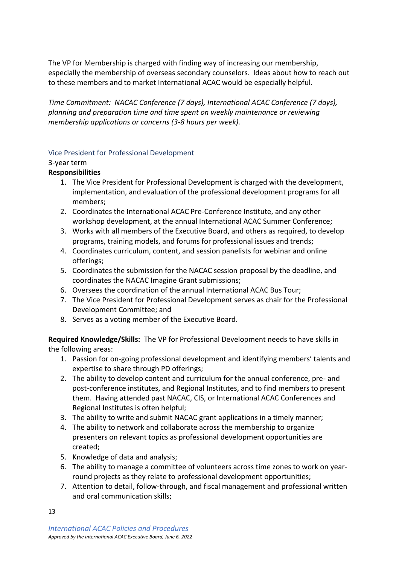The VP for Membership is charged with finding way of increasing our membership, especially the membership of overseas secondary counselors. Ideas about how to reach out to these members and to market International ACAC would be especially helpful.

*Time Commitment: NACAC Conference (7 days), International ACAC Conference (7 days), planning and preparation time and time spent on weekly maintenance or reviewing membership applications or concerns (3-8 hours per week).*

#### <span id="page-12-0"></span>Vice President for Professional Development

#### 3-year term

### **Responsibilities**

- 1. The Vice President for Professional Development is charged with the development, implementation, and evaluation of the professional development programs for all members;
- 2. Coordinates the International ACAC Pre-Conference Institute, and any other workshop development, at the annual International ACAC Summer Conference;
- 3. Works with all members of the Executive Board, and others as required, to develop programs, training models, and forums for professional issues and trends;
- 4. Coordinates curriculum, content, and session panelists for webinar and online offerings;
- 5. Coordinates the submission for the NACAC session proposal by the deadline, and coordinates the NACAC Imagine Grant submissions;
- 6. Oversees the coordination of the annual International ACAC Bus Tour;
- 7. The Vice President for Professional Development serves as chair for the Professional Development Committee; and
- 8. Serves as a voting member of the Executive Board.

**Required Knowledge/Skills:** The VP for Professional Development needs to have skills in the following areas:

- 1. Passion for on-going professional development and identifying members' talents and expertise to share through PD offerings;
- 2. The ability to develop content and curriculum for the annual conference, pre- and post-conference institutes, and Regional Institutes, and to find members to present them. Having attended past NACAC, CIS, or International ACAC Conferences and Regional Institutes is often helpful;
- 3. The ability to write and submit NACAC grant applications in a timely manner;
- 4. The ability to network and collaborate across the membership to organize presenters on relevant topics as professional development opportunities are created;
- 5. Knowledge of data and analysis;
- 6. The ability to manage a committee of volunteers across time zones to work on yearround projects as they relate to professional development opportunities;
- 7. Attention to detail, follow-through, and fiscal management and professional written and oral communication skills;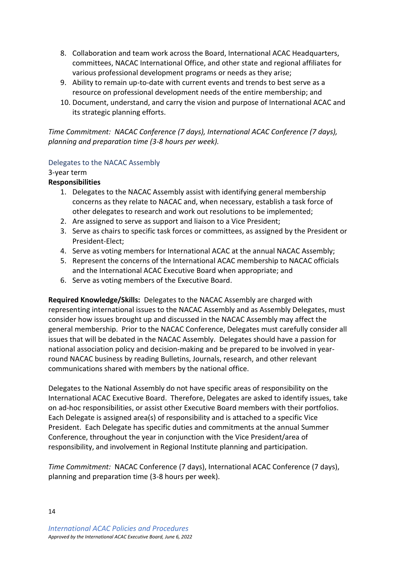- 8. Collaboration and team work across the Board, International ACAC Headquarters, committees, NACAC International Office, and other state and regional affiliates for various professional development programs or needs as they arise;
- 9. Ability to remain up-to-date with current events and trends to best serve as a resource on professional development needs of the entire membership; and
- 10. Document, understand, and carry the vision and purpose of International ACAC and its strategic planning efforts.

*Time Commitment: NACAC Conference (7 days), International ACAC Conference (7 days), planning and preparation time (3-8 hours per week).*

#### <span id="page-13-0"></span>Delegates to the NACAC Assembly

#### 3-year term

### **Responsibilities**

- 1. Delegates to the NACAC Assembly assist with identifying general membership concerns as they relate to NACAC and, when necessary, establish a task force of other delegates to research and work out resolutions to be implemented;
- 2. Are assigned to serve as support and liaison to a Vice President;
- 3. Serve as chairs to specific task forces or committees, as assigned by the President or President-Elect;
- 4. Serve as voting members for International ACAC at the annual NACAC Assembly;
- 5. Represent the concerns of the International ACAC membership to NACAC officials and the International ACAC Executive Board when appropriate; and
- 6. Serve as voting members of the Executive Board.

**Required Knowledge/Skills:** Delegates to the NACAC Assembly are charged with representing international issues to the NACAC Assembly and as Assembly Delegates, must consider how issues brought up and discussed in the NACAC Assembly may affect the general membership. Prior to the NACAC Conference, Delegates must carefully consider all issues that will be debated in the NACAC Assembly. Delegates should have a passion for national association policy and decision-making and be prepared to be involved in yearround NACAC business by reading Bulletins, Journals, research, and other relevant communications shared with members by the national office.

Delegates to the National Assembly do not have specific areas of responsibility on the International ACAC Executive Board. Therefore, Delegates are asked to identify issues, take on ad-hoc responsibilities, or assist other Executive Board members with their portfolios. Each Delegate is assigned area(s) of responsibility and is attached to a specific Vice President. Each Delegate has specific duties and commitments at the annual Summer Conference, throughout the year in conjunction with the Vice President/area of responsibility, and involvement in Regional Institute planning and participation.

*Time Commitment:* NACAC Conference (7 days), International ACAC Conference (7 days), planning and preparation time (3-8 hours per week).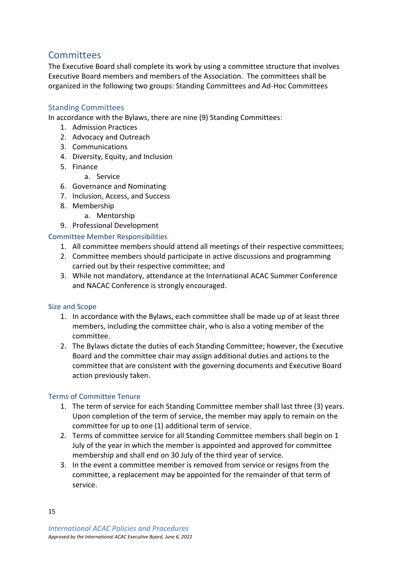# <span id="page-14-0"></span>**Committees**

The Executive Board shall complete its work by using a committee structure that involves Executive Board members and members of the Association. The committees shall be organized in the following two groups: Standing Committees and Ad-Hoc Committees

### <span id="page-14-1"></span>Standing Committees

In accordance with the Bylaws, there are nine (9) Standing Committees:

- 1. Admission Practices
- 2. Advocacy and Outreach
- 3. Communications
- 4. Diversity, Equity, and Inclusion
- 5. Finance
	- a. Service
- 6. Governance and Nominating
- 7. Inclusion, Access, and Success
- 8. Membership
	- a. Mentorship
- 9. Professional Development

#### <span id="page-14-2"></span>Committee Member Responsibilities

- 1. All committee members should attend all meetings of their respective committees;
- 2. Committee members should participate in active discussions and programming carried out by their respective committee; and
- 3. While not mandatory, attendance at the International ACAC Summer Conference and NACAC Conference is strongly encouraged.

#### <span id="page-14-3"></span>Size and Scope

- 1. In accordance with the Bylaws, each committee shall be made up of at least three members, including the committee chair, who is also a voting member of the committee.
- 2. The Bylaws dictate the duties of each Standing Committee; however, the Executive Board and the committee chair may assign additional duties and actions to the committee that are consistent with the governing documents and Executive Board action previously taken.

### <span id="page-14-4"></span>Terms of Committee Tenure

- 1. The term of service for each Standing Committee member shall last three (3) years. Upon completion of the term of service, the member may apply to remain on the committee for up to one (1) additional term of service.
- 2. Terms of committee service for all Standing Committee members shall begin on 1 July of the year in which the member is appointed and approved for committee membership and shall end on 30 July of the third year of service.
- 3. In the event a committee member is removed from service or resigns from the committee, a replacement may be appointed for the remainder of that term of service.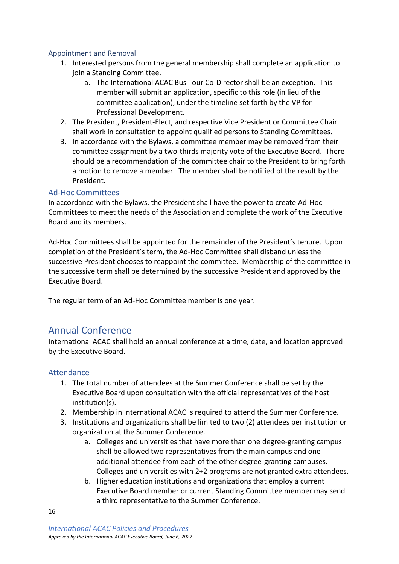### <span id="page-15-0"></span>Appointment and Removal

- 1. Interested persons from the general membership shall complete an application to join a Standing Committee.
	- a. The International ACAC Bus Tour Co-Director shall be an exception. This member will submit an application, specific to this role (in lieu of the committee application), under the timeline set forth by the VP for Professional Development.
- 2. The President, President-Elect, and respective Vice President or Committee Chair shall work in consultation to appoint qualified persons to Standing Committees.
- 3. In accordance with the Bylaws, a committee member may be removed from their committee assignment by a two-thirds majority vote of the Executive Board. There should be a recommendation of the committee chair to the President to bring forth a motion to remove a member. The member shall be notified of the result by the President.

### <span id="page-15-1"></span>Ad-Hoc Committees

In accordance with the Bylaws, the President shall have the power to create Ad-Hoc Committees to meet the needs of the Association and complete the work of the Executive Board and its members.

Ad-Hoc Committees shall be appointed for the remainder of the President's tenure. Upon completion of the President's term, the Ad-Hoc Committee shall disband unless the successive President chooses to reappoint the committee. Membership of the committee in the successive term shall be determined by the successive President and approved by the Executive Board.

The regular term of an Ad-Hoc Committee member is one year.

# <span id="page-15-2"></span>Annual Conference

International ACAC shall hold an annual conference at a time, date, and location approved by the Executive Board.

### <span id="page-15-3"></span>Attendance

- 1. The total number of attendees at the Summer Conference shall be set by the Executive Board upon consultation with the official representatives of the host institution(s).
- 2. Membership in International ACAC is required to attend the Summer Conference.
- 3. Institutions and organizations shall be limited to two (2) attendees per institution or organization at the Summer Conference.
	- a. Colleges and universities that have more than one degree-granting campus shall be allowed two representatives from the main campus and one additional attendee from each of the other degree-granting campuses. Colleges and universities with 2+2 programs are not granted extra attendees.
	- b. Higher education institutions and organizations that employ a current Executive Board member or current Standing Committee member may send a third representative to the Summer Conference.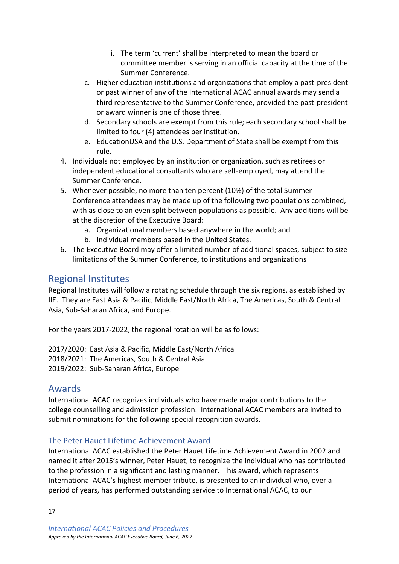- i. The term 'current' shall be interpreted to mean the board or committee member is serving in an official capacity at the time of the Summer Conference.
- c. Higher education institutions and organizations that employ a past-president or past winner of any of the International ACAC annual awards may send a third representative to the Summer Conference, provided the past-president or award winner is one of those three.
- d. Secondary schools are exempt from this rule; each secondary school shall be limited to four (4) attendees per institution.
- e. EducationUSA and the U.S. Department of State shall be exempt from this rule.
- 4. Individuals not employed by an institution or organization, such as retirees or independent educational consultants who are self-employed, may attend the Summer Conference.
- 5. Whenever possible, no more than ten percent (10%) of the total Summer Conference attendees may be made up of the following two populations combined, with as close to an even split between populations as possible. Any additions will be at the discretion of the Executive Board:
	- a. Organizational members based anywhere in the world; and
	- b. Individual members based in the United States.
- 6. The Executive Board may offer a limited number of additional spaces, subject to size limitations of the Summer Conference, to institutions and organizations

# <span id="page-16-0"></span>Regional Institutes

Regional Institutes will follow a rotating schedule through the six regions, as established by IIE. They are East Asia & Pacific, Middle East/North Africa, The Americas, South & Central Asia, Sub-Saharan Africa, and Europe.

For the years 2017-2022, the regional rotation will be as follows:

2017/2020: East Asia & Pacific, Middle East/North Africa 2018/2021: The Americas, South & Central Asia 2019/2022: Sub-Saharan Africa, Europe

### <span id="page-16-1"></span>Awards

International ACAC recognizes individuals who have made major contributions to the college counselling and admission profession. International ACAC members are invited to submit nominations for the following special recognition awards.

### <span id="page-16-2"></span>The Peter Hauet Lifetime Achievement Award

International ACAC established the Peter Hauet Lifetime Achievement Award in 2002 and named it after 2015's winner, Peter Hauet, to recognize the individual who has contributed to the profession in a significant and lasting manner. This award, which represents International ACAC's highest member tribute, is presented to an individual who, over a period of years, has performed outstanding service to International ACAC, to our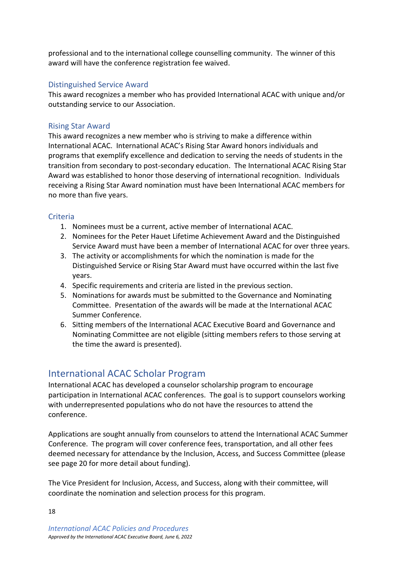professional and to the international college counselling community. The winner of this award will have the conference registration fee waived.

### <span id="page-17-0"></span>Distinguished Service Award

This award recognizes a member who has provided International ACAC with unique and/or outstanding service to our Association.

### <span id="page-17-1"></span>Rising Star Award

This award recognizes a new member who is striving to make a difference within International ACAC. International ACAC's Rising Star Award honors individuals and programs that exemplify excellence and dedication to serving the needs of students in the transition from secondary to post-secondary education. The International ACAC Rising Star Award was established to honor those deserving of international recognition. Individuals receiving a Rising Star Award nomination must have been International ACAC members for no more than five years.

### <span id="page-17-2"></span>**Criteria**

- 1. Nominees must be a current, active member of International ACAC.
- 2. Nominees for the Peter Hauet Lifetime Achievement Award and the Distinguished Service Award must have been a member of International ACAC for over three years.
- 3. The activity or accomplishments for which the nomination is made for the Distinguished Service or Rising Star Award must have occurred within the last five years.
- 4. Specific requirements and criteria are listed in the previous section.
- 5. Nominations for awards must be submitted to the Governance and Nominating Committee. Presentation of the awards will be made at the International ACAC Summer Conference.
- 6. Sitting members of the International ACAC Executive Board and Governance and Nominating Committee are not eligible (sitting members refers to those serving at the time the award is presented).

# <span id="page-17-3"></span>International ACAC Scholar Program

International ACAC has developed a counselor scholarship program to encourage participation in International ACAC conferences. The goal is to support counselors working with underrepresented populations who do not have the resources to attend the conference.

Applications are sought annually from counselors to attend the International ACAC Summer Conference. The program will cover conference fees, transportation, and all other fees deemed necessary for attendance by the Inclusion, Access, and Success Committee (please see page 20 for more detail about funding).

The Vice President for Inclusion, Access, and Success, along with their committee, will coordinate the nomination and selection process for this program.

*International ACAC Policies and Procedures Approved by the International ACAC Executive Board, June 6, 2022*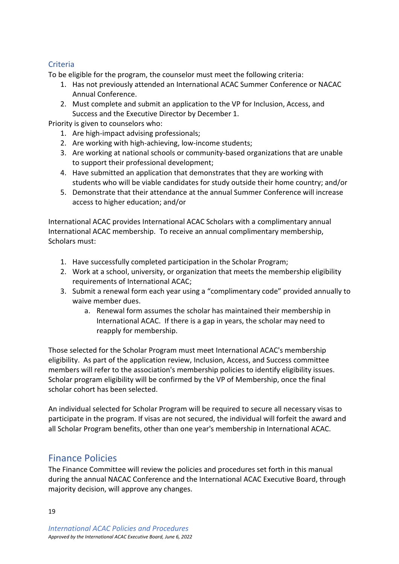### <span id="page-18-0"></span>**Criteria**

To be eligible for the program, the counselor must meet the following criteria:

- 1. Has not previously attended an International ACAC Summer Conference or NACAC Annual Conference.
- 2. Must complete and submit an application to the VP for Inclusion, Access, and Success and the Executive Director by December 1.

Priority is given to counselors who:

- 1. Are high-impact advising professionals;
- 2. Are working with high-achieving, low-income students;
- 3. Are working at national schools or community-based organizations that are unable to support their professional development;
- 4. Have submitted an application that demonstrates that they are working with students who will be viable candidates for study outside their home country; and/or
- 5. Demonstrate that their attendance at the annual Summer Conference will increase access to higher education; and/or

International ACAC provides International ACAC Scholars with a complimentary annual International ACAC membership. To receive an annual complimentary membership, Scholars must:

- 1. Have successfully completed participation in the Scholar Program;
- 2. Work at a school, university, or organization that meets the membership eligibility requirements of International ACAC;
- 3. Submit a renewal form each year using a "complimentary code" provided annually to waive member dues.
	- a. Renewal form assumes the scholar has maintained their membership in International ACAC. If there is a gap in years, the scholar may need to reapply for membership.

Those selected for the Scholar Program must meet International ACAC's membership eligibility. As part of the application review, Inclusion, Access, and Success committee members will refer to the association's membership policies to identify eligibility issues. Scholar program eligibility will be confirmed by the VP of Membership, once the final scholar cohort has been selected.

An individual selected for Scholar Program will be required to secure all necessary visas to participate in the program. If visas are not secured, the individual will forfeit the award and all Scholar Program benefits, other than one year's membership in International ACAC.

# <span id="page-18-1"></span>Finance Policies

The Finance Committee will review the policies and procedures set forth in this manual during the annual NACAC Conference and the International ACAC Executive Board, through majority decision, will approve any changes.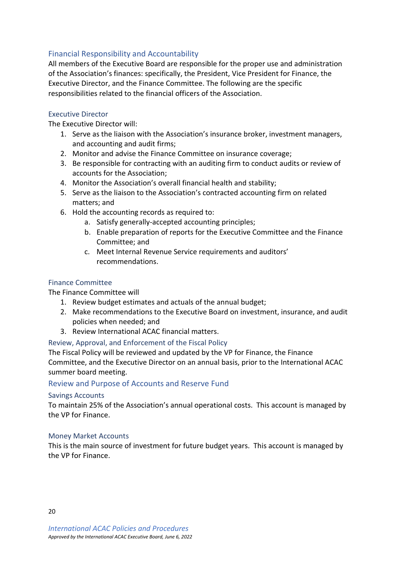### <span id="page-19-0"></span>Financial Responsibility and Accountability

All members of the Executive Board are responsible for the proper use and administration of the Association's finances: specifically, the President, Vice President for Finance, the Executive Director, and the Finance Committee. The following are the specific responsibilities related to the financial officers of the Association.

#### <span id="page-19-1"></span>Executive Director

The Executive Director will:

- 1. Serve as the liaison with the Association's insurance broker, investment managers, and accounting and audit firms;
- 2. Monitor and advise the Finance Committee on insurance coverage;
- 3. Be responsible for contracting with an auditing firm to conduct audits or review of accounts for the Association;
- 4. Monitor the Association's overall financial health and stability;
- 5. Serve as the liaison to the Association's contracted accounting firm on related matters; and
- 6. Hold the accounting records as required to:
	- a. Satisfy generally-accepted accounting principles;
	- b. Enable preparation of reports for the Executive Committee and the Finance Committee; and
	- c. Meet Internal Revenue Service requirements and auditors' recommendations.

### <span id="page-19-2"></span>Finance Committee

#### The Finance Committee will

- 1. Review budget estimates and actuals of the annual budget;
- 2. Make recommendations to the Executive Board on investment, insurance, and audit policies when needed; and
- 3. Review International ACAC financial matters.

### <span id="page-19-3"></span>Review, Approval, and Enforcement of the Fiscal Policy

The Fiscal Policy will be reviewed and updated by the VP for Finance, the Finance Committee, and the Executive Director on an annual basis, prior to the International ACAC summer board meeting.

#### <span id="page-19-4"></span>Review and Purpose of Accounts and Reserve Fund

#### <span id="page-19-5"></span>Savings Accounts

To maintain 25% of the Association's annual operational costs. This account is managed by the VP for Finance.

#### <span id="page-19-6"></span>Money Market Accounts

This is the main source of investment for future budget years. This account is managed by the VP for Finance.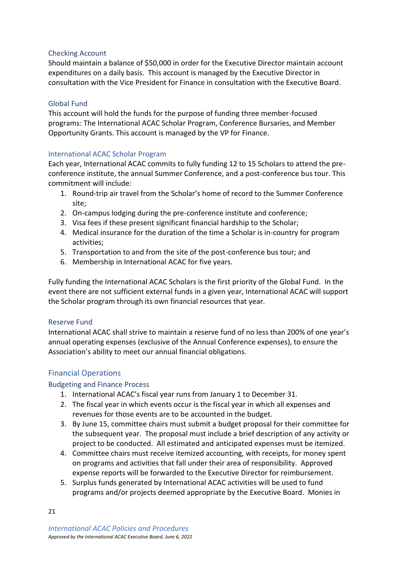#### <span id="page-20-0"></span>Checking Account

Should maintain a balance of \$50,000 in order for the Executive Director maintain account expenditures on a daily basis. This account is managed by the Executive Director in consultation with the Vice President for Finance in consultation with the Executive Board.

#### <span id="page-20-1"></span>Global Fund

This account will hold the funds for the purpose of funding three member-focused programs: The International ACAC Scholar Program, Conference Bursaries, and Member Opportunity Grants. This account is managed by the VP for Finance.

#### <span id="page-20-2"></span>International ACAC Scholar Program

Each year, International ACAC commits to fully funding 12 to 15 Scholars to attend the preconference institute, the annual Summer Conference, and a post-conference bus tour. This commitment will include:

- 1. Round-trip air travel from the Scholar's home of record to the Summer Conference site;
- 2. On-campus lodging during the pre-conference institute and conference;
- 3. Visa fees if these present significant financial hardship to the Scholar;
- 4. Medical insurance for the duration of the time a Scholar is in-country for program activities;
- 5. Transportation to and from the site of the post-conference bus tour; and
- 6. Membership in International ACAC for five years.

Fully funding the International ACAC Scholars is the first priority of the Global Fund. In the event there are not sufficient external funds in a given year, International ACAC will support the Scholar program through its own financial resources that year.

### <span id="page-20-3"></span>Reserve Fund

International ACAC shall strive to maintain a reserve fund of no less than 200% of one year's annual operating expenses (exclusive of the Annual Conference expenses), to ensure the Association's ability to meet our annual financial obligations.

### <span id="page-20-4"></span>Financial Operations

### <span id="page-20-5"></span>Budgeting and Finance Process

- 1. International ACAC's fiscal year runs from January 1 to December 31.
- 2. The fiscal year in which events occur is the fiscal year in which all expenses and revenues for those events are to be accounted in the budget.
- 3. By June 15, committee chairs must submit a budget proposal for their committee for the subsequent year. The proposal must include a brief description of any activity or project to be conducted. All estimated and anticipated expenses must be itemized.
- 4. Committee chairs must receive itemized accounting, with receipts, for money spent on programs and activities that fall under their area of responsibility. Approved expense reports will be forwarded to the Executive Director for reimbursement.
- 5. Surplus funds generated by International ACAC activities will be used to fund programs and/or projects deemed appropriate by the Executive Board. Monies in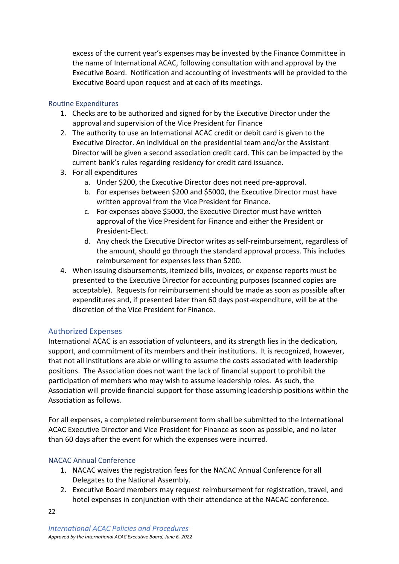excess of the current year's expenses may be invested by the Finance Committee in the name of International ACAC, following consultation with and approval by the Executive Board. Notification and accounting of investments will be provided to the Executive Board upon request and at each of its meetings.

### <span id="page-21-0"></span>Routine Expenditures

- 1. Checks are to be authorized and signed for by the Executive Director under the approval and supervision of the Vice President for Finance
- 2. The authority to use an International ACAC credit or debit card is given to the Executive Director. An individual on the presidential team and/or the Assistant Director will be given a second association credit card. This can be impacted by the current bank's rules regarding residency for credit card issuance.
- 3. For all expenditures
	- a. Under \$200, the Executive Director does not need pre-approval.
	- b. For expenses between \$200 and \$5000, the Executive Director must have written approval from the Vice President for Finance.
	- c. For expenses above \$5000, the Executive Director must have written approval of the Vice President for Finance and either the President or President-Elect.
	- d. Any check the Executive Director writes as self-reimbursement, regardless of the amount, should go through the standard approval process. This includes reimbursement for expenses less than \$200.
- 4. When issuing disbursements, itemized bills, invoices, or expense reports must be presented to the Executive Director for accounting purposes (scanned copies are acceptable). Requests for reimbursement should be made as soon as possible after expenditures and, if presented later than 60 days post-expenditure, will be at the discretion of the Vice President for Finance.

### <span id="page-21-1"></span>Authorized Expenses

International ACAC is an association of volunteers, and its strength lies in the dedication, support, and commitment of its members and their institutions. It is recognized, however, that not all institutions are able or willing to assume the costs associated with leadership positions. The Association does not want the lack of financial support to prohibit the participation of members who may wish to assume leadership roles. As such, the Association will provide financial support for those assuming leadership positions within the Association as follows.

For all expenses, a completed reimbursement form shall be submitted to the International ACAC Executive Director and Vice President for Finance as soon as possible, and no later than 60 days after the event for which the expenses were incurred.

### <span id="page-21-2"></span>NACAC Annual Conference

- 1. NACAC waives the registration fees for the NACAC Annual Conference for all Delegates to the National Assembly.
- 2. Executive Board members may request reimbursement for registration, travel, and hotel expenses in conjunction with their attendance at the NACAC conference.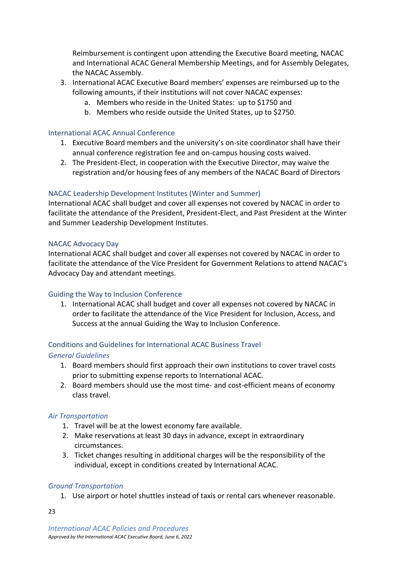Reimbursement is contingent upon attending the Executive Board meeting, NACAC and International ACAC General Membership Meetings, and for Assembly Delegates, the NACAC Assembly.

- 3. International ACAC Executive Board members' expenses are reimbursed up to the following amounts, if their institutions will not cover NACAC expenses:
	- a. Members who reside in the United States: up to \$1750 and
	- b. Members who reside outside the United States, up to \$2750.

#### <span id="page-22-0"></span>International ACAC Annual Conference

- 1. Executive Board members and the university's on-site coordinator shall have their annual conference registration fee and on-campus housing costs waived.
- 2. The President-Elect, in cooperation with the Executive Director, may waive the registration and/or housing fees of any members of the NACAC Board of Directors

#### <span id="page-22-1"></span>NACAC Leadership Development Institutes (Winter and Summer)

International ACAC shall budget and cover all expenses not covered by NACAC in order to facilitate the attendance of the President, President-Elect, and Past President at the Winter and Summer Leadership Development Institutes.

#### <span id="page-22-2"></span>NACAC Advocacy Day

International ACAC shall budget and cover all expenses not covered by NACAC in order to facilitate the attendance of the Vice President for Government Relations to attend NACAC's Advocacy Day and attendant meetings.

#### <span id="page-22-3"></span>Guiding the Way to Inclusion Conference

1. International ACAC shall budget and cover all expenses not covered by NACAC in order to facilitate the attendance of the Vice President for Inclusion, Access, and Success at the annual Guiding the Way to Inclusion Conference.

### <span id="page-22-4"></span>Conditions and Guidelines for International ACAC Business Travel

### <span id="page-22-5"></span>*General Guidelines*

- 1. Board members should first approach their own institutions to cover travel costs prior to submitting expense reports to International ACAC.
- 2. Board members should use the most time- and cost-efficient means of economy class travel.

#### <span id="page-22-6"></span>*Air Transportation*

- 1. Travel will be at the lowest economy fare available.
- 2. Make reservations at least 30 days in advance, except in extraordinary circumstances.
- 3. Ticket changes resulting in additional charges will be the responsibility of the individual, except in conditions created by International ACAC.

#### <span id="page-22-7"></span>*Ground Transportation*

1. Use airport or hotel shuttles instead of taxis or rental cars whenever reasonable.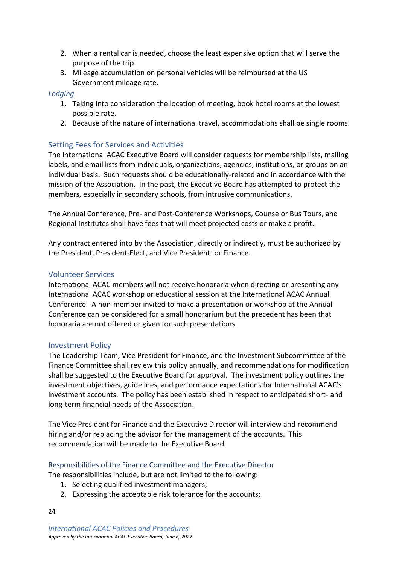- 2. When a rental car is needed, choose the least expensive option that will serve the purpose of the trip.
- 3. Mileage accumulation on personal vehicles will be reimbursed at the US Government mileage rate.

#### <span id="page-23-0"></span>*Lodging*

- 1. Taking into consideration the location of meeting, book hotel rooms at the lowest possible rate.
- 2. Because of the nature of international travel, accommodations shall be single rooms.

### <span id="page-23-1"></span>Setting Fees for Services and Activities

The International ACAC Executive Board will consider requests for membership lists, mailing labels, and email lists from individuals, organizations, agencies, institutions, or groups on an individual basis. Such requests should be educationally-related and in accordance with the mission of the Association. In the past, the Executive Board has attempted to protect the members, especially in secondary schools, from intrusive communications.

The Annual Conference, Pre- and Post-Conference Workshops, Counselor Bus Tours, and Regional Institutes shall have fees that will meet projected costs or make a profit.

Any contract entered into by the Association, directly or indirectly, must be authorized by the President, President-Elect, and Vice President for Finance.

### <span id="page-23-2"></span>Volunteer Services

International ACAC members will not receive honoraria when directing or presenting any International ACAC workshop or educational session at the International ACAC Annual Conference. A non-member invited to make a presentation or workshop at the Annual Conference can be considered for a small honorarium but the precedent has been that honoraria are not offered or given for such presentations.

#### <span id="page-23-3"></span>Investment Policy

The Leadership Team, Vice President for Finance, and the Investment Subcommittee of the Finance Committee shall review this policy annually, and recommendations for modification shall be suggested to the Executive Board for approval. The investment policy outlines the investment objectives, guidelines, and performance expectations for International ACAC's investment accounts. The policy has been established in respect to anticipated short- and long-term financial needs of the Association.

The Vice President for Finance and the Executive Director will interview and recommend hiring and/or replacing the advisor for the management of the accounts. This recommendation will be made to the Executive Board.

#### <span id="page-23-4"></span>Responsibilities of the Finance Committee and the Executive Director

The responsibilities include, but are not limited to the following:

- 1. Selecting qualified investment managers;
- 2. Expressing the acceptable risk tolerance for the accounts;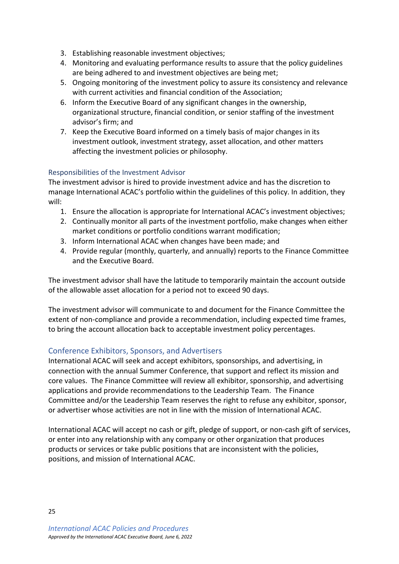- 3. Establishing reasonable investment objectives;
- 4. Monitoring and evaluating performance results to assure that the policy guidelines are being adhered to and investment objectives are being met;
- 5. Ongoing monitoring of the investment policy to assure its consistency and relevance with current activities and financial condition of the Association;
- 6. Inform the Executive Board of any significant changes in the ownership, organizational structure, financial condition, or senior staffing of the investment advisor's firm; and
- 7. Keep the Executive Board informed on a timely basis of major changes in its investment outlook, investment strategy, asset allocation, and other matters affecting the investment policies or philosophy.

### <span id="page-24-0"></span>Responsibilities of the Investment Advisor

The investment advisor is hired to provide investment advice and has the discretion to manage International ACAC's portfolio within the guidelines of this policy. In addition, they will:

- 1. Ensure the allocation is appropriate for International ACAC's investment objectives;
- 2. Continually monitor all parts of the investment portfolio, make changes when either market conditions or portfolio conditions warrant modification;
- 3. Inform International ACAC when changes have been made; and
- 4. Provide regular (monthly, quarterly, and annually) reports to the Finance Committee and the Executive Board.

The investment advisor shall have the latitude to temporarily maintain the account outside of the allowable asset allocation for a period not to exceed 90 days.

The investment advisor will communicate to and document for the Finance Committee the extent of non-compliance and provide a recommendation, including expected time frames, to bring the account allocation back to acceptable investment policy percentages.

### <span id="page-24-1"></span>Conference Exhibitors, Sponsors, and Advertisers

International ACAC will seek and accept exhibitors, sponsorships, and advertising, in connection with the annual Summer Conference, that support and reflect its mission and core values. The Finance Committee will review all exhibitor, sponsorship, and advertising applications and provide recommendations to the Leadership Team. The Finance Committee and/or the Leadership Team reserves the right to refuse any exhibitor, sponsor, or advertiser whose activities are not in line with the mission of International ACAC.

International ACAC will accept no cash or gift, pledge of support, or non-cash gift of services, or enter into any relationship with any company or other organization that produces products or services or take public positions that are inconsistent with the policies, positions, and mission of International ACAC.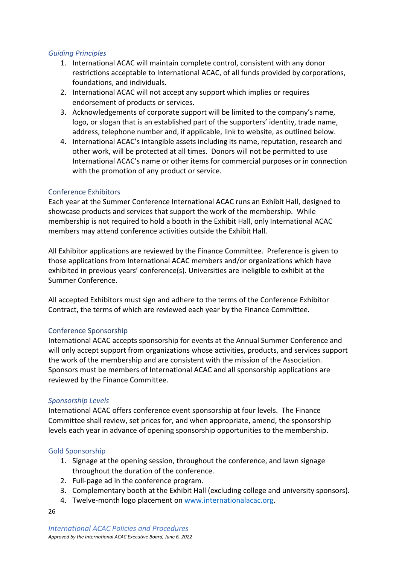### <span id="page-25-0"></span>*Guiding Principles*

- 1. International ACAC will maintain complete control, consistent with any donor restrictions acceptable to International ACAC, of all funds provided by corporations, foundations, and individuals.
- 2. International ACAC will not accept any support which implies or requires endorsement of products or services.
- 3. Acknowledgements of corporate support will be limited to the company's name, logo, or slogan that is an established part of the supporters' identity, trade name, address, telephone number and, if applicable, link to website, as outlined below.
- 4. International ACAC's intangible assets including its name, reputation, research and other work, will be protected at all times. Donors will not be permitted to use International ACAC's name or other items for commercial purposes or in connection with the promotion of any product or service.

### <span id="page-25-1"></span>Conference Exhibitors

Each year at the Summer Conference International ACAC runs an Exhibit Hall, designed to showcase products and services that support the work of the membership. While membership is not required to hold a booth in the Exhibit Hall, only International ACAC members may attend conference activities outside the Exhibit Hall.

All Exhibitor applications are reviewed by the Finance Committee. Preference is given to those applications from International ACAC members and/or organizations which have exhibited in previous years' conference(s). Universities are ineligible to exhibit at the Summer Conference.

All accepted Exhibitors must sign and adhere to the terms of the Conference Exhibitor Contract, the terms of which are reviewed each year by the Finance Committee.

#### <span id="page-25-2"></span>Conference Sponsorship

International ACAC accepts sponsorship for events at the Annual Summer Conference and will only accept support from organizations whose activities, products, and services support the work of the membership and are consistent with the mission of the Association. Sponsors must be members of International ACAC and all sponsorship applications are reviewed by the Finance Committee.

#### <span id="page-25-3"></span>*Sponsorship Levels*

International ACAC offers conference event sponsorship at four levels. The Finance Committee shall review, set prices for, and when appropriate, amend, the sponsorship levels each year in advance of opening sponsorship opportunities to the membership.

#### <span id="page-25-4"></span>Gold Sponsorship

- 1. Signage at the opening session, throughout the conference, and lawn signage throughout the duration of the conference.
- 2. Full-page ad in the conference program.
- 3. Complementary booth at the Exhibit Hall (excluding college and university sponsors).
- 4. Twelve-month logo placement on [www.internationalacac.org.](http://www.internationalacac.org/)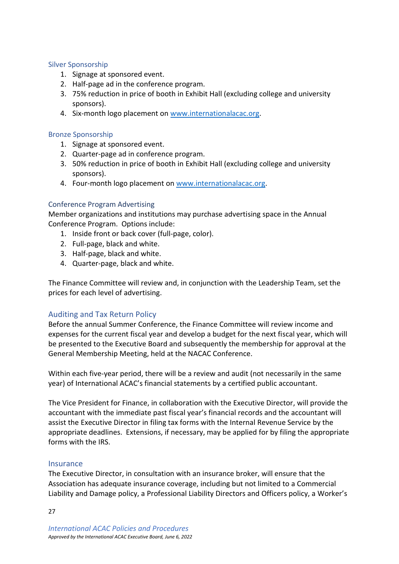#### <span id="page-26-0"></span>Silver Sponsorship

- 1. Signage at sponsored event.
- 2. Half-page ad in the conference program.
- 3. 75% reduction in price of booth in Exhibit Hall (excluding college and university sponsors).
- 4. Six-month logo placement on [www.internationalacac.org.](http://www.internationalacac.org/)

#### <span id="page-26-1"></span>Bronze Sponsorship

- 1. Signage at sponsored event.
- 2. Quarter-page ad in conference program.
- 3. 50% reduction in price of booth in Exhibit Hall (excluding college and university sponsors).
- 4. Four-month logo placement on [www.internationalacac.org.](http://www.internationalacac.org/)

#### <span id="page-26-2"></span>Conference Program Advertising

Member organizations and institutions may purchase advertising space in the Annual Conference Program. Options include:

- 1. Inside front or back cover (full-page, color).
- 2. Full-page, black and white.
- 3. Half-page, black and white.
- 4. Quarter-page, black and white.

The Finance Committee will review and, in conjunction with the Leadership Team, set the prices for each level of advertising.

### <span id="page-26-3"></span>Auditing and Tax Return Policy

Before the annual Summer Conference, the Finance Committee will review income and expenses for the current fiscal year and develop a budget for the next fiscal year, which will be presented to the Executive Board and subsequently the membership for approval at the General Membership Meeting, held at the NACAC Conference.

Within each five-year period, there will be a review and audit (not necessarily in the same year) of International ACAC's financial statements by a certified public accountant.

The Vice President for Finance, in collaboration with the Executive Director, will provide the accountant with the immediate past fiscal year's financial records and the accountant will assist the Executive Director in filing tax forms with the Internal Revenue Service by the appropriate deadlines. Extensions, if necessary, may be applied for by filing the appropriate forms with the IRS.

#### <span id="page-26-4"></span>**Insurance**

The Executive Director, in consultation with an insurance broker, will ensure that the Association has adequate insurance coverage, including but not limited to a Commercial Liability and Damage policy, a Professional Liability Directors and Officers policy, a Worker's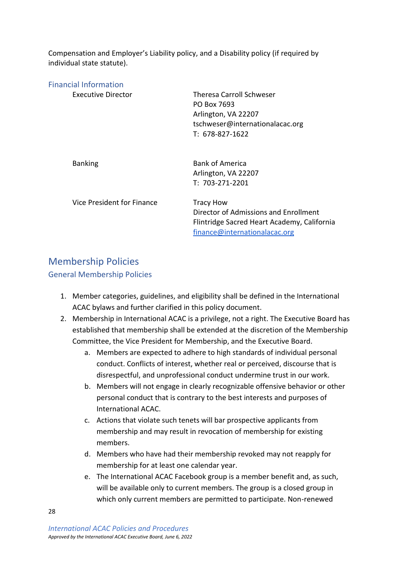Compensation and Employer's Liability policy, and a Disability policy (if required by individual state statute).

<span id="page-27-0"></span>

| <b>Financial Information</b> |                                             |
|------------------------------|---------------------------------------------|
| Executive Director           | <b>Theresa Carroll Schweser</b>             |
|                              | PO Box 7693                                 |
|                              | Arlington, VA 22207                         |
|                              | tschweser@internationalacac.org             |
|                              | T: 678-827-1622                             |
| <b>Banking</b>               | <b>Bank of America</b>                      |
|                              | Arlington, VA 22207                         |
|                              | T: 703-271-2201                             |
| Vice President for Finance   | <b>Tracy How</b>                            |
|                              | Director of Admissions and Enrollment       |
|                              | Flintridge Sacred Heart Academy, California |
|                              | finance@internationalacac.org               |

# <span id="page-27-1"></span>Membership Policies

### <span id="page-27-2"></span>General Membership Policies

- 1. Member categories, guidelines, and eligibility shall be defined in the International ACAC bylaws and further clarified in this policy document.
- 2. Membership in International ACAC is a privilege, not a right. The Executive Board has established that membership shall be extended at the discretion of the Membership Committee, the Vice President for Membership, and the Executive Board.
	- a. Members are expected to adhere to high standards of individual personal conduct. Conflicts of interest, whether real or perceived, discourse that is disrespectful, and unprofessional conduct undermine trust in our work.
	- b. Members will not engage in clearly recognizable offensive behavior or other personal conduct that is contrary to the best interests and purposes of International ACAC.
	- c. Actions that violate such tenets will bar prospective applicants from membership and may result in revocation of membership for existing members.
	- d. Members who have had their membership revoked may not reapply for membership for at least one calendar year.
	- e. The International ACAC Facebook group is a member benefit and, as such, will be available only to current members. The group is a closed group in which only current members are permitted to participate. Non-renewed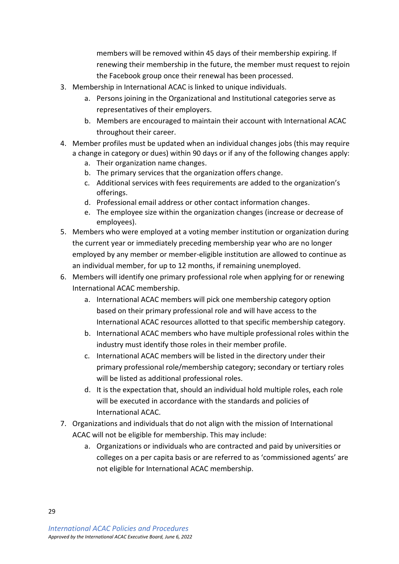members will be removed within 45 days of their membership expiring. If renewing their membership in the future, the member must request to rejoin the Facebook group once their renewal has been processed.

- 3. Membership in International ACAC is linked to unique individuals.
	- a. Persons joining in the Organizational and Institutional categories serve as representatives of their employers.
	- b. Members are encouraged to maintain their account with International ACAC throughout their career.
- 4. Member profiles must be updated when an individual changes jobs (this may require a change in category or dues) within 90 days or if any of the following changes apply:
	- a. Their organization name changes.
	- b. The primary services that the organization offers change.
	- c. Additional services with fees requirements are added to the organization's offerings.
	- d. Professional email address or other contact information changes.
	- e. The employee size within the organization changes (increase or decrease of employees).
- 5. Members who were employed at a voting member institution or organization during the current year or immediately preceding membership year who are no longer employed by any member or member-eligible institution are allowed to continue as an individual member, for up to 12 months, if remaining unemployed.
- 6. Members will identify one primary professional role when applying for or renewing International ACAC membership.
	- a. International ACAC members will pick one membership category option based on their primary professional role and will have access to the International ACAC resources allotted to that specific membership category.
	- b. International ACAC members who have multiple professional roles within the industry must identify those roles in their member profile.
	- c. International ACAC members will be listed in the directory under their primary professional role/membership category; secondary or tertiary roles will be listed as additional professional roles.
	- d. It is the expectation that, should an individual hold multiple roles, each role will be executed in accordance with the standards and policies of International ACAC.
- 7. Organizations and individuals that do not align with the mission of International ACAC will not be eligible for membership. This may include:
	- a. Organizations or individuals who are contracted and paid by universities or colleges on a per capita basis or are referred to as 'commissioned agents' are not eligible for International ACAC membership.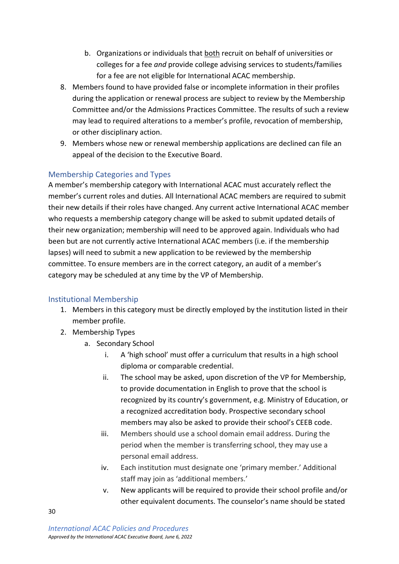- b. Organizations or individuals that both recruit on behalf of universities or colleges for a fee *and* provide college advising services to students/families for a fee are not eligible for International ACAC membership.
- 8. Members found to have provided false or incomplete information in their profiles during the application or renewal process are subject to review by the Membership Committee and/or the Admissions Practices Committee. The results of such a review may lead to required alterations to a member's profile, revocation of membership, or other disciplinary action.
- 9. Members whose new or renewal membership applications are declined can file an appeal of the decision to the Executive Board.

### <span id="page-29-0"></span>Membership Categories and Types

A member's membership category with International ACAC must accurately reflect the member's current roles and duties. All International ACAC members are required to submit their new details if their roles have changed. Any current active International ACAC member who requests a membership category change will be asked to submit updated details of their new organization; membership will need to be approved again. Individuals who had been but are not currently active International ACAC members (i.e. if the membership lapses) will need to submit a new application to be reviewed by the membership committee. To ensure members are in the correct category, an audit of a member's category may be scheduled at any time by the VP of Membership.

### <span id="page-29-1"></span>Institutional Membership

- 1. Members in this category must be directly employed by the institution listed in their member profile.
- 2. Membership Types
	- a. Secondary School
		- i. A 'high school' must offer a curriculum that results in a high school diploma or comparable credential.
		- ii. The school may be asked, upon discretion of the VP for Membership, to provide documentation in English to prove that the school is recognized by its country's government, e.g. Ministry of Education, or a recognized accreditation body. Prospective secondary school members may also be asked to provide their school's CEEB code.
		- iii. Members should use a school domain email address. During the period when the member is transferring school, they may use a personal email address.
		- iv. Each institution must designate one 'primary member.' Additional staff may join as 'additional members.'
		- v. New applicants will be required to provide their school profile and/or other equivalent documents. The counselor's name should be stated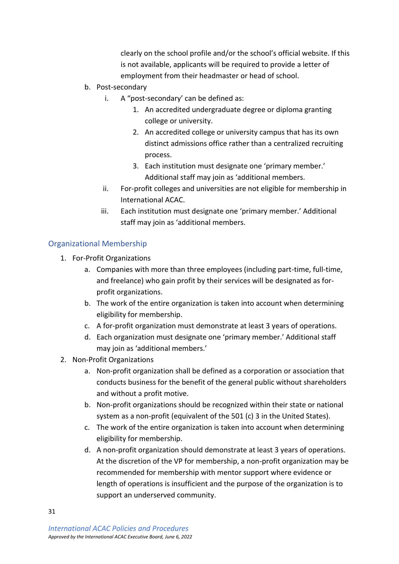clearly on the school profile and/or the school's official website. If this is not available, applicants will be required to provide a letter of employment from their headmaster or head of school.

- b. Post-secondary
	- i. A "post-secondary' can be defined as:
		- 1. An accredited undergraduate degree or diploma granting college or university.
		- 2. An accredited college or university campus that has its own distinct admissions office rather than a centralized recruiting process.
		- 3. Each institution must designate one 'primary member.' Additional staff may join as 'additional members.
	- ii. For-profit colleges and universities are not eligible for membership in International ACAC.
	- iii. Each institution must designate one 'primary member.' Additional staff may join as 'additional members.

### <span id="page-30-0"></span>Organizational Membership

- 1. For-Profit Organizations
	- a. Companies with more than three employees (including part-time, full-time, and freelance) who gain profit by their services will be designated as forprofit organizations.
	- b. The work of the entire organization is taken into account when determining eligibility for membership.
	- c. A for-profit organization must demonstrate at least 3 years of operations.
	- d. Each organization must designate one 'primary member.' Additional staff may join as 'additional members.'
- 2. Non-Profit Organizations
	- a. Non-profit organization shall be defined as a corporation or association that conducts business for the benefit of the general public without shareholders and without a profit motive.
	- b. Non-profit organizations should be recognized within their state or national system as a non-profit (equivalent of the 501 (c) 3 in the United States).
	- c. The work of the entire organization is taken into account when determining eligibility for membership.
	- d. A non-profit organization should demonstrate at least 3 years of operations. At the discretion of the VP for membership, a non-profit organization may be recommended for membership with mentor support where evidence or length of operations is insufficient and the purpose of the organization is to support an underserved community.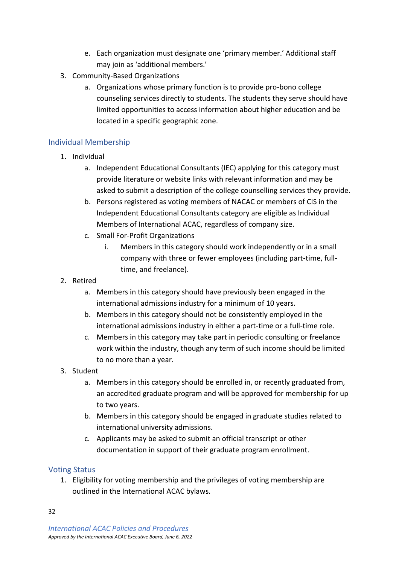- e. Each organization must designate one 'primary member.' Additional staff may join as 'additional members.'
- 3. Community-Based Organizations
	- a. Organizations whose primary function is to provide pro-bono college counseling services directly to students. The students they serve should have limited opportunities to access information about higher education and be located in a specific geographic zone.

### <span id="page-31-0"></span>Individual Membership

- 1. Individual
	- a. Independent Educational Consultants (IEC) applying for this category must provide literature or website links with relevant information and may be asked to submit a description of the college counselling services they provide.
	- b. Persons registered as voting members of NACAC or members of CIS in the Independent Educational Consultants category are eligible as Individual Members of International ACAC, regardless of company size.
	- c. Small For-Profit Organizations
		- i. Members in this category should work independently or in a small company with three or fewer employees (including part-time, fulltime, and freelance).
- 2. Retired
	- a. Members in this category should have previously been engaged in the international admissions industry for a minimum of 10 years.
	- b. Members in this category should not be consistently employed in the international admissions industry in either a part-time or a full-time role.
	- c. Members in this category may take part in periodic consulting or freelance work within the industry, though any term of such income should be limited to no more than a year.
- 3. Student
	- a. Members in this category should be enrolled in, or recently graduated from, an accredited graduate program and will be approved for membership for up to two years.
	- b. Members in this category should be engaged in graduate studies related to international university admissions.
	- c. Applicants may be asked to submit an official transcript or other documentation in support of their graduate program enrollment.

### <span id="page-31-1"></span>Voting Status

1. Eligibility for voting membership and the privileges of voting membership are outlined in the International ACAC bylaws.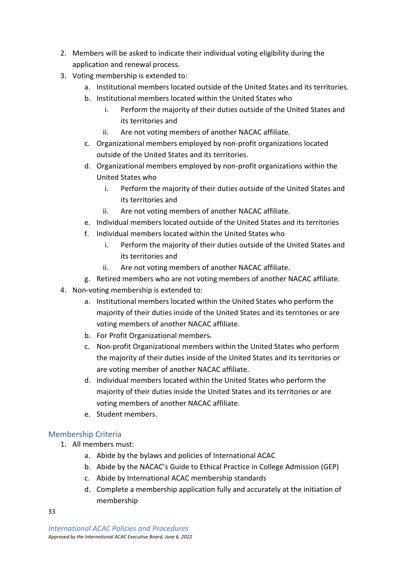- 2. Members will be asked to indicate their individual voting eligibility during the application and renewal process.
- 3. Voting membership is extended to:
	- a. Institutional members located outside of the United States and its territories.
	- b. Institutional members located within the United States who
		- i. Perform the majority of their duties outside of the United States and its territories and
		- ii. Are not voting members of another NACAC affiliate.
	- c. Organizational members employed by non-profit organizations located outside of the United States and its territories.
	- d. Organizational members employed by non-profit organizations within the United States who
		- i. Perform the majority of their duties outside of the United States and its territories and
		- ii. Are not voting members of another NACAC affiliate.
	- e. Individual members located outside of the United States and its territories
	- f. Individual members located within the United States who
		- i. Perform the majority of their duties outside of the United States and its territories and
		- ii. Are not voting members of another NACAC affiliate.
	- g. Retired members who are not voting members of another NACAC affiliate.
- 4. Non-voting membership is extended to:
	- a. Institutional members located within the United States who perform the majority of their duties inside of the United States and its territories or are voting members of another NACAC affiliate.
	- b. For Profit Organizational members.
	- c. Non-profit Organizational members within the United States who perform the majority of their duties inside of the United States and its territories or are voting member of another NACAC affiliate.
	- d. Individual members located within the United States who perform the majority of their duties inside the United States and its territories or are voting members of another NACAC affiliate.
	- e. Student members.

# <span id="page-32-0"></span>Membership Criteria

- 1. All members must:
	- a. Abide by the bylaws and policies of International ACAC
	- b. Abide by the NACAC's Guide to Ethical Practice in College Admission (GEP)
	- c. Abide by International ACAC membership standards
	- d. Complete a membership application fully and accurately at the initiation of membership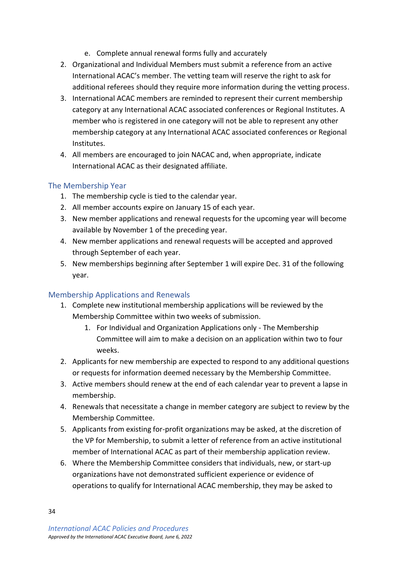- e. Complete annual renewal forms fully and accurately
- 2. Organizational and Individual Members must submit a reference from an active International ACAC's member. The vetting team will reserve the right to ask for additional referees should they require more information during the vetting process.
- 3. International ACAC members are reminded to represent their current membership category at any International ACAC associated conferences or Regional Institutes. A member who is registered in one category will not be able to represent any other membership category at any International ACAC associated conferences or Regional Institutes.
- 4. All members are encouraged to join NACAC and, when appropriate, indicate International ACAC as their designated affiliate.

### <span id="page-33-0"></span>The Membership Year

- 1. The membership cycle is tied to the calendar year.
- 2. All member accounts expire on January 15 of each year.
- 3. New member applications and renewal requests for the upcoming year will become available by November 1 of the preceding year.
- 4. New member applications and renewal requests will be accepted and approved through September of each year.
- 5. New memberships beginning after September 1 will expire Dec. 31 of the following year.

### <span id="page-33-1"></span>Membership Applications and Renewals

- 1. Complete new institutional membership applications will be reviewed by the Membership Committee within two weeks of submission.
	- 1. For Individual and Organization Applications only The Membership Committee will aim to make a decision on an application within two to four weeks.
- 2. Applicants for new membership are expected to respond to any additional questions or requests for information deemed necessary by the Membership Committee.
- 3. Active members should renew at the end of each calendar year to prevent a lapse in membership.
- 4. Renewals that necessitate a change in member category are subject to review by the Membership Committee.
- 5. Applicants from existing for-profit organizations may be asked, at the discretion of the VP for Membership, to submit a letter of reference from an active institutional member of International ACAC as part of their membership application review.
- 6. Where the Membership Committee considers that individuals, new, or start-up organizations have not demonstrated sufficient experience or evidence of operations to qualify for International ACAC membership, they may be asked to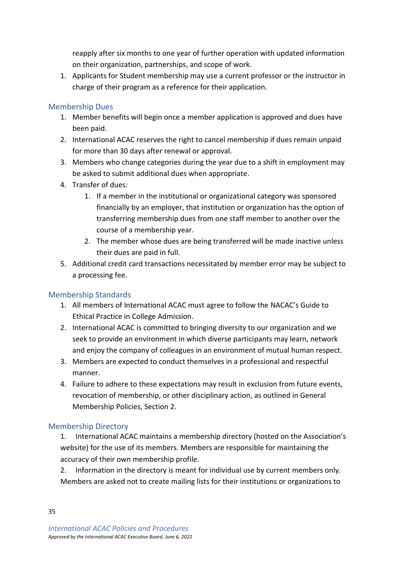reapply after six months to one year of further operation with updated information on their organization, partnerships, and scope of work.

1. Applicants for Student membership may use a current professor or the instructor in charge of their program as a reference for their application.

### <span id="page-34-0"></span>Membership Dues

- 1. Member benefits will begin once a member application is approved and dues have been paid.
- 2. International ACAC reserves the right to cancel membership if dues remain unpaid for more than 30 days after renewal or approval.
- 3. Members who change categories during the year due to a shift in employment may be asked to submit additional dues when appropriate.
- 4. Transfer of dues:
	- 1. If a member in the institutional or organizational category was sponsored financially by an employer, that institution or organization has the option of transferring membership dues from one staff member to another over the course of a membership year.
	- 2. The member whose dues are being transferred will be made inactive unless their dues are paid in full.
- 5. Additional credit card transactions necessitated by member error may be subject to a processing fee.

### <span id="page-34-1"></span>Membership Standards

- 1. All members of International ACAC must agree to follow the NACAC's Guide to Ethical Practice in College Admission.
- 2. International ACAC is committed to bringing diversity to our organization and we seek to provide an environment in which diverse participants may learn, network and enjoy the company of colleagues in an environment of mutual human respect.
- 3. Members are expected to conduct themselves in a professional and respectful manner.
- 4. Failure to adhere to these expectations may result in exclusion from future events, revocation of membership, or other disciplinary action, as outlined in General Membership Policies, Section 2.

### <span id="page-34-2"></span>Membership Directory

1. International ACAC maintains a membership directory (hosted on the Association's website) for the use of its members. Members are responsible for maintaining the accuracy of their own membership profile.

2. Information in the directory is meant for individual use by current members only. Members are asked not to create mailing lists for their institutions or organizations to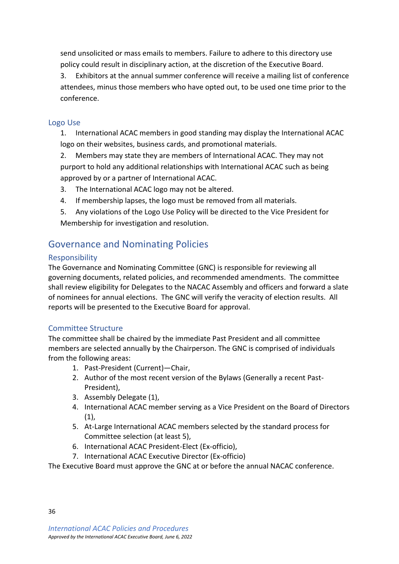send unsolicited or mass emails to members. Failure to adhere to this directory use policy could result in disciplinary action, at the discretion of the Executive Board.

3. Exhibitors at the annual summer conference will receive a mailing list of conference attendees, minus those members who have opted out, to be used one time prior to the conference.

### <span id="page-35-0"></span>Logo Use

1. International ACAC members in good standing may display the International ACAC logo on their websites, business cards, and promotional materials.

2. Members may state they are members of International ACAC. They may not purport to hold any additional relationships with International ACAC such as being approved by or a partner of International ACAC.

- 3. The International ACAC logo may not be altered.
- 4. If membership lapses, the logo must be removed from all materials.
- 5. Any violations of the Logo Use Policy will be directed to the Vice President for Membership for investigation and resolution.

# <span id="page-35-1"></span>Governance and Nominating Policies

### <span id="page-35-2"></span>**Responsibility**

The Governance and Nominating Committee (GNC) is responsible for reviewing all governing documents, related policies, and recommended amendments. The committee shall review eligibility for Delegates to the NACAC Assembly and officers and forward a slate of nominees for annual elections. The GNC will verify the veracity of election results. All reports will be presented to the Executive Board for approval.

### <span id="page-35-3"></span>Committee Structure

The committee shall be chaired by the immediate Past President and all committee members are selected annually by the Chairperson. The GNC is comprised of individuals from the following areas:

- 1. Past-President (Current)—Chair,
- 2. Author of the most recent version of the Bylaws (Generally a recent Past-President),
- 3. Assembly Delegate (1),
- 4. International ACAC member serving as a Vice President on the Board of Directors (1),
- 5. At-Large International ACAC members selected by the standard process for Committee selection (at least 5),
- 6. International ACAC President-Elect (Ex-officio),
- 7. International ACAC Executive Director (Ex-officio)

The Executive Board must approve the GNC at or before the annual NACAC conference.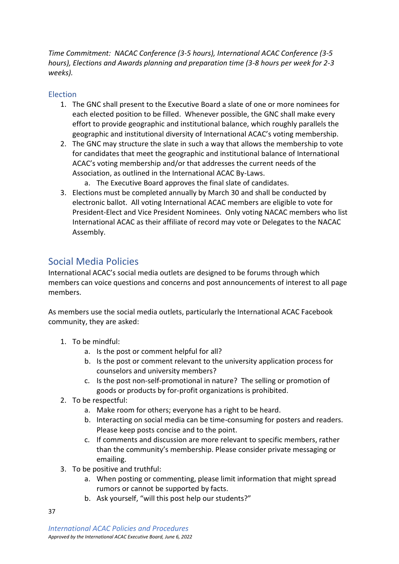*Time Commitment: NACAC Conference (3-5 hours), International ACAC Conference (3-5 hours), Elections and Awards planning and preparation time (3-8 hours per week for 2-3 weeks).*

### <span id="page-36-0"></span>Election

- 1. The GNC shall present to the Executive Board a slate of one or more nominees for each elected position to be filled. Whenever possible, the GNC shall make every effort to provide geographic and institutional balance, which roughly parallels the geographic and institutional diversity of International ACAC's voting membership.
- 2. The GNC may structure the slate in such a way that allows the membership to vote for candidates that meet the geographic and institutional balance of International ACAC's voting membership and/or that addresses the current needs of the Association, as outlined in the International ACAC By-Laws.
	- a. The Executive Board approves the final slate of candidates.
- 3. Elections must be completed annually by March 30 and shall be conducted by electronic ballot. All voting International ACAC members are eligible to vote for President-Elect and Vice President Nominees. Only voting NACAC members who list International ACAC as their affiliate of record may vote or Delegates to the NACAC Assembly.

# <span id="page-36-1"></span>Social Media Policies

International ACAC's social media outlets are designed to be forums through which members can voice questions and concerns and post announcements of interest to all page members.

As members use the social media outlets, particularly the International ACAC Facebook community, they are asked:

- 1. To be mindful:
	- a. Is the post or comment helpful for all?
	- b. Is the post or comment relevant to the university application process for counselors and university members?
	- c. Is the post non-self-promotional in nature? The selling or promotion of goods or products by for-profit organizations is prohibited.
- 2. To be respectful:
	- a. Make room for others; everyone has a right to be heard.
	- b. Interacting on social media can be time-consuming for posters and readers. Please keep posts concise and to the point.
	- c. If comments and discussion are more relevant to specific members, rather than the community's membership. Please consider private messaging or emailing.
- 3. To be positive and truthful:
	- a. When posting or commenting, please limit information that might spread rumors or cannot be supported by facts.
	- b. Ask yourself, "will this post help our students?"